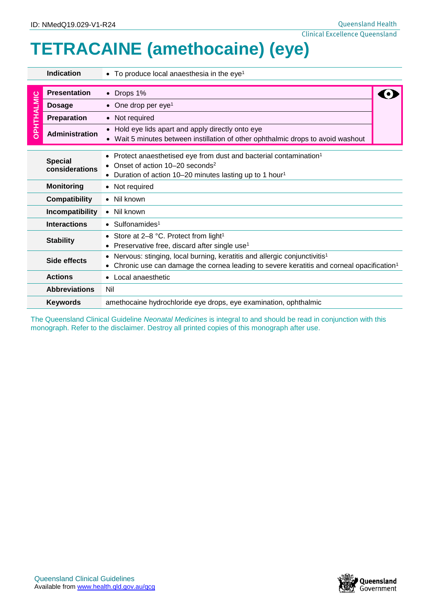## **TETRACAINE (amethocaine) (eye)**

|            | <b>Indication</b>                                                                                                                                                                                                                    | To produce local anaesthesia in the eye <sup>1</sup>                                                                              |  |  |  |
|------------|--------------------------------------------------------------------------------------------------------------------------------------------------------------------------------------------------------------------------------------|-----------------------------------------------------------------------------------------------------------------------------------|--|--|--|
| OPHTHALMIC | <b>Presentation</b>                                                                                                                                                                                                                  | Drops 1%                                                                                                                          |  |  |  |
|            | <b>Dosage</b>                                                                                                                                                                                                                        | One drop per eye <sup>1</sup>                                                                                                     |  |  |  |
|            | <b>Preparation</b>                                                                                                                                                                                                                   | Not required                                                                                                                      |  |  |  |
|            | <b>Administration</b>                                                                                                                                                                                                                | Hold eye lids apart and apply directly onto eye<br>Wait 5 minutes between instillation of other ophthalmic drops to avoid washout |  |  |  |
|            | Protect anaesthetised eye from dust and bacterial contamination <sup>1</sup><br><b>Special</b><br>Onset of action 10–20 seconds <sup>2</sup><br>considerations<br>Duration of action 10-20 minutes lasting up to 1 hour <sup>1</sup> |                                                                                                                                   |  |  |  |
|            | <b>Monitoring</b>                                                                                                                                                                                                                    | • Not required                                                                                                                    |  |  |  |
|            | <b>Compatibility</b><br>• Nil known                                                                                                                                                                                                  |                                                                                                                                   |  |  |  |
|            | Incompatibility<br>• Nil known                                                                                                                                                                                                       |                                                                                                                                   |  |  |  |
|            | <b>Interactions</b><br>$\bullet$ Sulfonamides <sup>1</sup>                                                                                                                                                                           |                                                                                                                                   |  |  |  |
|            | <b>Stability</b>                                                                                                                                                                                                                     | • Store at $2-8$ °C. Protect from light <sup>1</sup><br>Preservative free, discard after single use <sup>1</sup>                  |  |  |  |
|            | Nervous: stinging, local burning, keratitis and allergic conjunctivitis <sup>1</sup><br>Side effects<br>Chronic use can damage the cornea leading to severe keratitis and corneal opacification <sup>1</sup>                         |                                                                                                                                   |  |  |  |
|            | <b>Actions</b>                                                                                                                                                                                                                       | • Local anaesthetic                                                                                                               |  |  |  |
|            | <b>Abbreviations</b>                                                                                                                                                                                                                 | Nil                                                                                                                               |  |  |  |
|            | <b>Keywords</b><br>amethocaine hydrochloride eye drops, eye examination, ophthalmic                                                                                                                                                  |                                                                                                                                   |  |  |  |

The Queensland Clinical Guideline *Neonatal Medicines* is integral to and should be read in conjunction with this monograph. Refer to the disclaimer. Destroy all printed copies of this monograph after use.